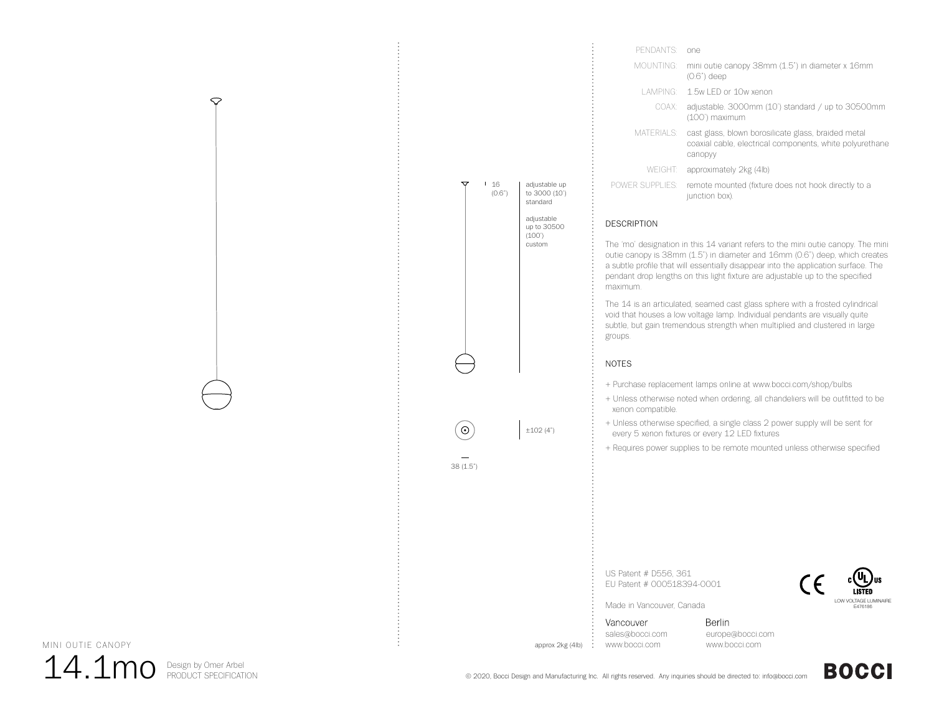

| PENDANTS <sup>.</sup> | one                                                                                                                        |
|-----------------------|----------------------------------------------------------------------------------------------------------------------------|
| MOUNTING <sup>.</sup> | mini outie canopy 38mm (1.5") in diameter x 16mm<br>$(0.6")$ deep                                                          |
|                       | LAMPING: 1.5w LED or 10w xenon                                                                                             |
| COAX:                 | adjustable. 3000mm (10') standard / up to 30500mm<br>(100') maximum                                                        |
| MATERIALS:            | cast glass, blown borosilicate glass, braided metal<br>coaxial cable, electrical components, white polyurethane<br>canopyy |
| WEIGHT                | approximately 2kg (4lb)                                                                                                    |
| POWER SUPPLIES:       | remote mounted (fixture does not hook directly to a<br>junction box).                                                      |

### DESCRIPTION

The 'mo' designation in this 14 variant refers to the mini outie canopy. The mini outie canopy is 38mm (1.5") in diameter and 16mm (0.6") deep, which creates a subtle profile that will essentially disappear into the application surface. The pendant drop lengths on this light fixture are adjustable up to the specified maximum.

The 14 is an articulated, seamed cast glass sphere with a frosted cylindrical void that houses a low voltage lamp. Individual pendants are visually quite subtle, but gain tremendous strength when multiplied and clustered in large groups.

# NOTES

- + Purchase replacement lamps online at www.bocci.com/shop/bulbs
- + Unless otherwise noted when ordering, all chandeliers will be outfitted to be xenon compatible.
- + Unless otherwise specified, a single class 2 power supply will be sent for every 5 xenon fixtures or every 12 LED fixtures
- + Requires power supplies to be remote mounted unless otherwise specified

US Patent # D556, 361 EU Patent # 000518394-0001



Made in Vancouver, Canada

Vancouver sales@bocci.com www.bocci.com

approx 2kg (4lb)

Berlin europe@bocci.com www.bocci.com

MINI OUTIE CANOPY



 $\heartsuit$ 

© 2020, Bocci Design and Manufacturing Inc. All rights reserved. Any inquiries should be directed to: info@bocci.com